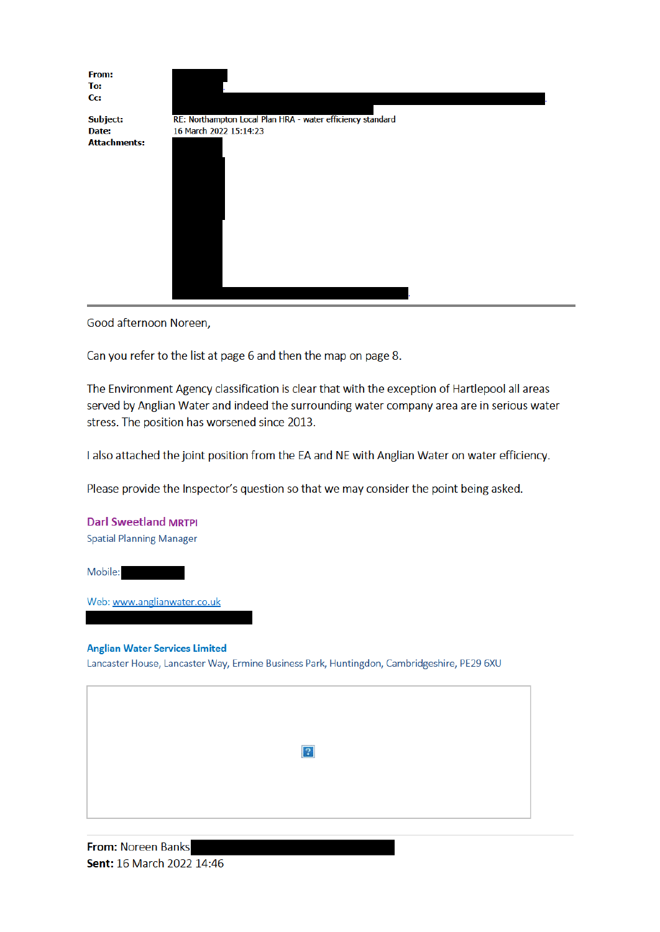

Good afternoon Noreen,

Can you refer to the list at page 6 and then the map on page 8.

The Environment Agency classification is clear that with the exception of Hartlepool all areas served by Anglian Water and indeed the surrounding water company area are in serious water stress. The position has worsened since 2013.

I also attached the joint position from the EA and NE with Anglian Water on water efficiency.

Please provide the Inspector's question so that we may consider the point being asked.

**Darl Sweetland MRTPI Spatial Planning Manager** 

Mobile:

Web: www.anglianwater.co.uk

**Anglian Water Services Limited** Lancaster House, Lancaster Way, Ermine Business Park, Huntingdon, Cambridgeshire, PE29 6XU

| $\overline{2}$ |
|----------------|
|                |
|                |

From: Noreen Banks Sent: 16 March 2022 14:46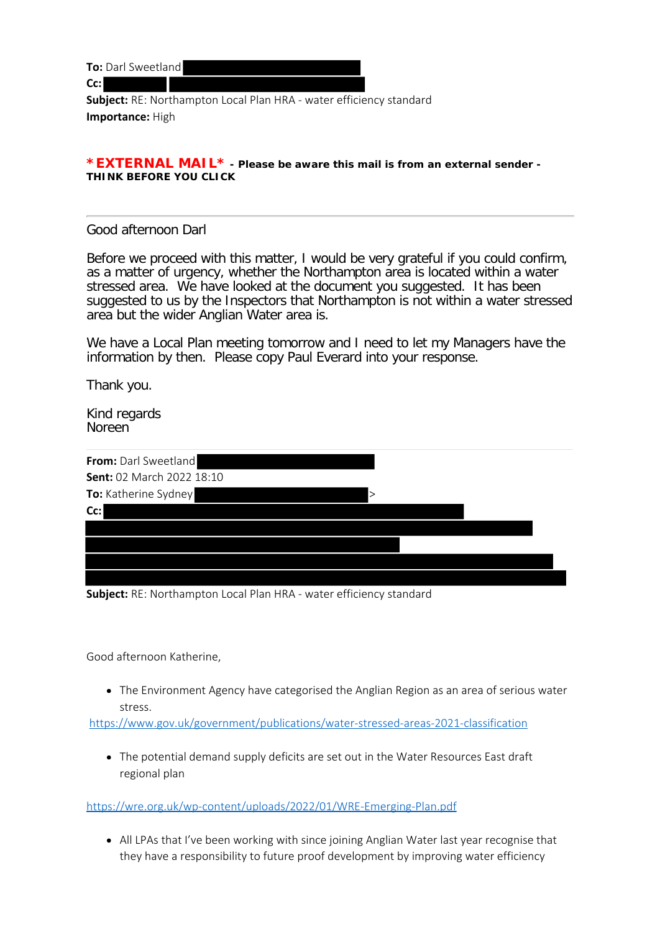**To:** Darl Sweetland

**Cc:**

**Subject:** RE: Northampton Local Plan HRA - water efficiency standard **Importance:** High

#### **\*EXTERNAL MAIL\* - Please be aware this mail is from an external sender - THINK BEFORE YOU CLICK**

### Good afternoon Darl

Before we proceed with this matter, I would be very grateful if you could confirm, as a matter of urgency, whether the Northampton area is located within a water stressed area. We have looked at the document you suggested. It has been suggested to us by the Inspectors that Northampton is not within a water stressed area but the wider Anglian Water area is.

We have a Local Plan meeting tomorrow and I need to let my Managers have the information by then. Please copy Paul Everard into your response.

Thank you.

Kind regards Noreen

| From: Darl Sweetland      |  |
|---------------------------|--|
| Sent: 02 March 2022 18:10 |  |
| To: Katherine Sydney<br>> |  |
| Cc:                       |  |
|                           |  |
|                           |  |
|                           |  |
|                           |  |

**Subject:** RE: Northampton Local Plan HRA - water efficiency standard

Good afternoon Katherine,

• The Environment Agency have categorised the Anglian Region as an area of serious water stress.

https://www.gov.uk/government/publications/water-stressed-areas-2021-classification

The potential demand supply deficits are set out in the Water Resources East draft regional plan

https://wre.org.uk/wp-content/uploads/2022/01/WRE-Emerging-Plan.pdf

• All LPAs that I've been working with since joining Anglian Water last year recognise that they have a responsibility to future proof development by improving water efficiency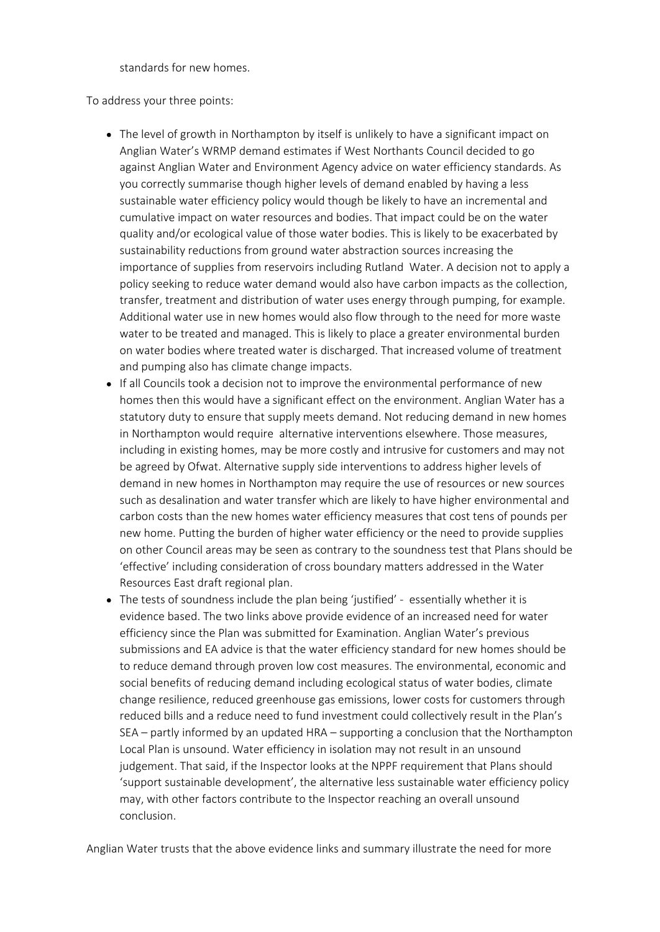standards for new homes.

To address your three points:

- The level of growth in Northampton by itself is unlikely to have a significant impact on Anglian Water's WRMP demand estimates if West Northants Council decided to go against Anglian Water and Environment Agency advice on water efficiency standards. As you correctly summarise though higher levels of demand enabled by having a less sustainable water efficiency policy would though be likely to have an incremental and cumulative impact on water resources and bodies. That impact could be on the water quality and/or ecological value of those water bodies. This is likely to be exacerbated by sustainability reductions from ground water abstraction sources increasing the importance of supplies from reservoirs including Rutland Water. A decision not to apply a policy seeking to reduce water demand would also have carbon impacts as the collection, transfer, treatment and distribution of water uses energy through pumping, for example. Additional water use in new homes would also flow through to the need for more waste water to be treated and managed. This is likely to place a greater environmental burden on water bodies where treated water is discharged. That increased volume of treatment and pumping also has climate change impacts.
- If all Councils took a decision not to improve the environmental performance of new homes then this would have a significant effect on the environment. Anglian Water has a statutory duty to ensure that supply meets demand. Not reducing demand in new homes in Northampton would require alternative interventions elsewhere. Those measures, including in existing homes, may be more costly and intrusive for customers and may not be agreed by Ofwat. Alternative supply side interventions to address higher levels of demand in new homes in Northampton may require the use of resources or new sources such as desalination and water transfer which are likely to have higher environmental and carbon costs than the new homes water efficiency measures that cost tens of pounds per new home. Putting the burden of higher water efficiency or the need to provide supplies on other Council areas may be seen as contrary to the soundness test that Plans should be 'effective' including consideration of cross boundary matters addressed in the Water Resources East draft regional plan.
- The tests of soundness include the plan being 'justified' essentially whether it is evidence based. The two links above provide evidence of an increased need for water efficiency since the Plan was submitted for Examination. Anglian Water's previous submissions and EA advice is that the water efficiency standard for new homes should be to reduce demand through proven low cost measures. The environmental, economic and social benefits of reducing demand including ecological status of water bodies, climate change resilience, reduced greenhouse gas emissions, lower costs for customers through reduced bills and a reduce need to fund investment could collectively result in the Plan's SEA – partly informed by an updated HRA – supporting a conclusion that the Northampton Local Plan is unsound. Water efficiency in isolation may not result in an unsound judgement. That said, if the Inspector looks at the NPPF requirement that Plans should 'support sustainable development', the alternative less sustainable water efficiency policy may, with other factors contribute to the Inspector reaching an overall unsound conclusion.

Anglian Water trusts that the above evidence links and summary illustrate the need for more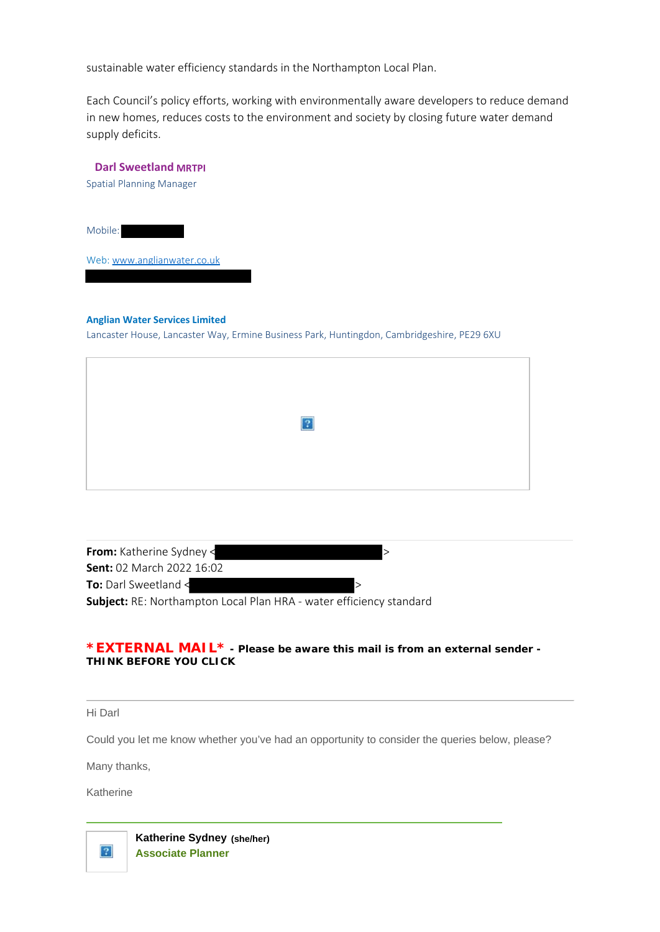sustainable water efficiency standards in the Northampton Local Plan.

Each Council's policy efforts, working with environmentally aware developers to reduce demand in new homes, reduces costs to the environment and society by closing future water demand supply deficits.

| <b>Darl Sweetland MRTPI</b>                                                                |  |
|--------------------------------------------------------------------------------------------|--|
| <b>Spatial Planning Manager</b>                                                            |  |
|                                                                                            |  |
| Mobile:                                                                                    |  |
| Web: www.anglianwater.co.uk                                                                |  |
|                                                                                            |  |
|                                                                                            |  |
| <b>Anglian Water Services Limited</b>                                                      |  |
| Lancaster House, Lancaster Way, Ermine Business Park, Huntingdon, Cambridgeshire, PE29 6XU |  |
|                                                                                            |  |

| $\boxed{?}$ |  |
|-------------|--|
|             |  |
|             |  |

| <b>From:</b> Katherine Sydney <                                            |  |
|----------------------------------------------------------------------------|--|
| <b>Sent:</b> 02 March 2022 16:02                                           |  |
| To: Darl Sweetland <                                                       |  |
| <b>Subject:</b> RE: Northampton Local Plan HRA - water efficiency standard |  |

#### **\*EXTERNAL MAIL\* - Please be aware this mail is from an external sender - THINK BEFORE YOU CLICK**

Hi Darl

Could you let me know whether you've had an opportunity to consider the queries below, please?

Many thanks,

Katherine

 $\sqrt{2}$ 

**Katherine Sydney (she/her) Associate Planner**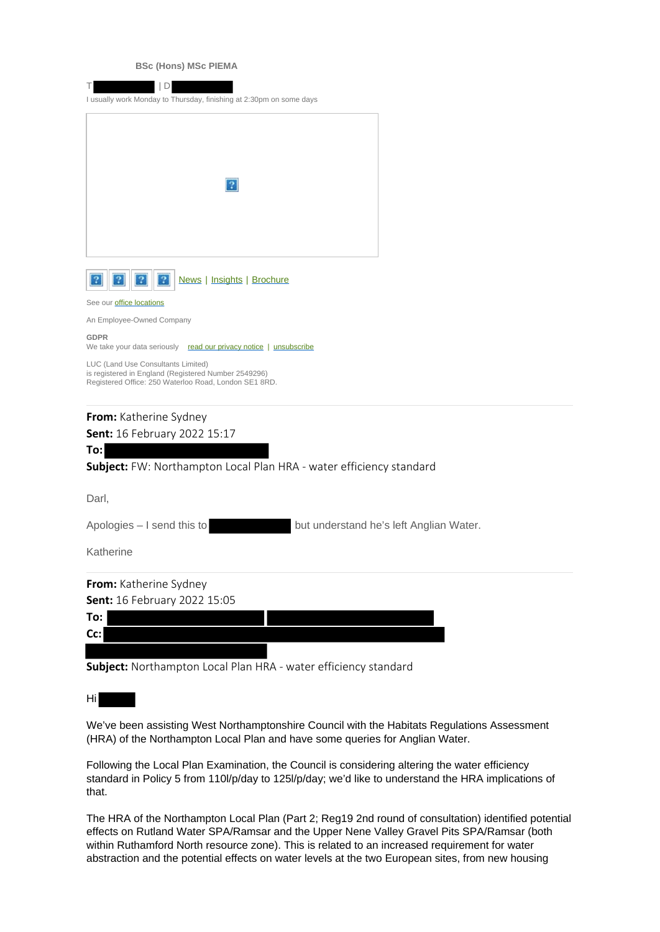|  | <b>BSc (Hons) MSc PIEMA</b> |
|--|-----------------------------|
|  |                             |

| D<br>I usually work Monday to Thursday, finishing at 2:30pm on some days                                                                            |
|-----------------------------------------------------------------------------------------------------------------------------------------------------|
| 2                                                                                                                                                   |
| News   Insights   Brochure<br>2                                                                                                                     |
| See our <b>office locations</b>                                                                                                                     |
| An Employee-Owned Company                                                                                                                           |
| <b>GDPR</b><br>We take your data seriously<br>read our privacy notice   unsubscribe                                                                 |
| LUC (Land Use Consultants Limited)<br>is registered in England (Registered Number 2549296)<br>Registered Office: 250 Waterloo Road, London SE1 8RD. |
| From: Katherine Sydney                                                                                                                              |
| Sent: 16 February 2022 15:17                                                                                                                        |
| To:                                                                                                                                                 |
| Subject: FW: Northampton Local Plan HRA - water efficiency standard                                                                                 |
| Darl,                                                                                                                                               |
| Apologies - I send this to<br>but understand he's left Anglian Water.                                                                               |
| Katherine                                                                                                                                           |
| From: Katherine Sydney                                                                                                                              |
| Sent: 16 February 2022 15:05                                                                                                                        |
| To:                                                                                                                                                 |
| Cc:                                                                                                                                                 |
|                                                                                                                                                     |
| Subject: Northampton Local Plan HRA - water efficiency standard                                                                                     |

Hi

We've been assisting West Northamptonshire Council with the Habitats Regulations Assessment (HRA) of the Northampton Local Plan and have some queries for Anglian Water.

Following the Local Plan Examination, the Council is considering altering the water efficiency standard in Policy 5 from 110l/p/day to 125l/p/day; we'd like to understand the HRA implications of that.

The HRA of the Northampton Local Plan (Part 2; Reg19 2nd round of consultation) identified potential effects on Rutland Water SPA/Ramsar and the Upper Nene Valley Gravel Pits SPA/Ramsar (both within Ruthamford North resource zone). This is related to an increased requirement for water abstraction and the potential effects on water levels at the two European sites, from new housing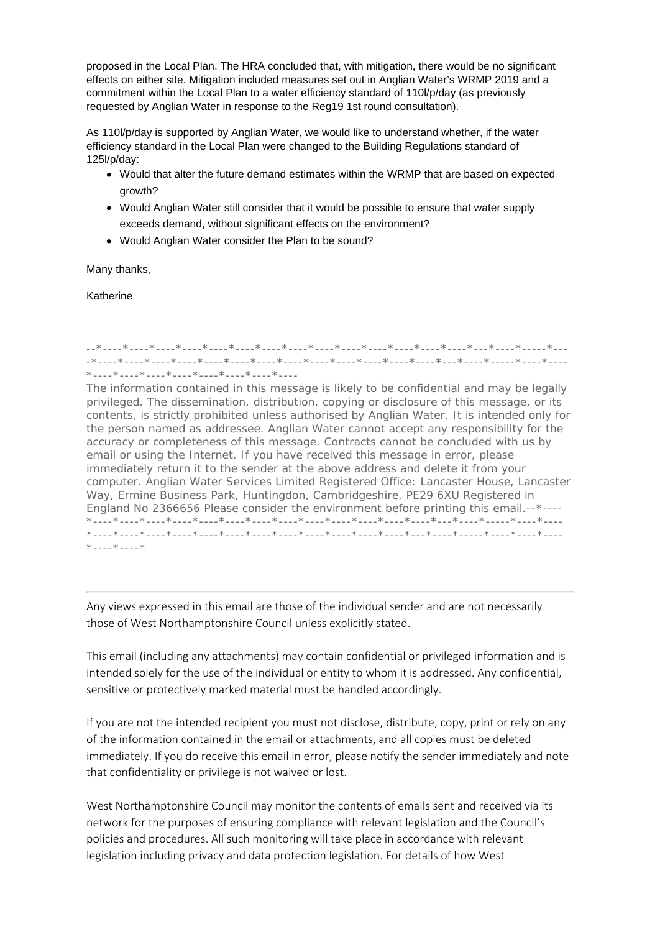proposed in the Local Plan. The HRA concluded that, with mitigation, there would be no significant effects on either site. Mitigation included measures set out in Anglian Water's WRMP 2019 and a commitment within the Local Plan to a water efficiency standard of 110l/p/day (as previously requested by Anglian Water in response to the Reg19 1st round consultation).

As 110l/p/day is supported by Anglian Water, we would like to understand whether, if the water efficiency standard in the Local Plan were changed to the Building Regulations standard of 125l/p/day:

- Would that alter the future demand estimates within the WRMP that are based on expected growth?
- Would Anglian Water still consider that it would be possible to ensure that water supply exceeds demand, without significant effects on the environment?
- Would Anglian Water consider the Plan to be sound?

Many thanks,

Katherine

#### --\*----\*----\*----\*----\*----\*----\*----\*----\*----\*----\*----\*----\*----\*----\*---\*----\*-----\*--- -\*----\*----\*----\*----\*----\*----\*----\*----\*----\*----\*----\*----\*----\*---\*----\*-----\*----\*---- \*----\*----\*----\*----\*----\*----\*----\*----

The information contained in this message is likely to be confidential and may be legally privileged. The dissemination, distribution, copying or disclosure of this message, or its contents, is strictly prohibited unless authorised by Anglian Water. It is intended only for the person named as addressee. Anglian Water cannot accept any responsibility for the accuracy or completeness of this message. Contracts cannot be concluded with us by email or using the Internet. If you have received this message in error, please immediately return it to the sender at the above address and delete it from your computer. Anglian Water Services Limited Registered Office: Lancaster House, Lancaster Way, Ermine Business Park, Huntingdon, Cambridgeshire, PE29 6XU Registered in England No 2366656 Please consider the environment before printing this email.--\*---- \*----\*----\*----\*----\*----\*----\*----\*----\*----\*----\*----\*----\*----\*---\*----\*-----\*----\*---- \*----\*----\*----\*----\*----\*----\*----\*----\*----\*----\*----\*----\*---\*----\*-----\*----\*----\*----  $*$ ---- $*$ ---- $*$ 

Any views expressed in this email are those of the individual sender and are not necessarily those of West Northamptonshire Council unless explicitly stated.

This email (including any attachments) may contain confidential or privileged information and is intended solely for the use of the individual or entity to whom it is addressed. Any confidential, sensitive or protectively marked material must be handled accordingly.

If you are not the intended recipient you must not disclose, distribute, copy, print or rely on any of the information contained in the email or attachments, and all copies must be deleted immediately. If you do receive this email in error, please notify the sender immediately and note that confidentiality or privilege is not waived or lost.

West Northamptonshire Council may monitor the contents of emails sent and received via its network for the purposes of ensuring compliance with relevant legislation and the Council's policies and procedures. All such monitoring will take place in accordance with relevant legislation including privacy and data protection legislation. For details of how West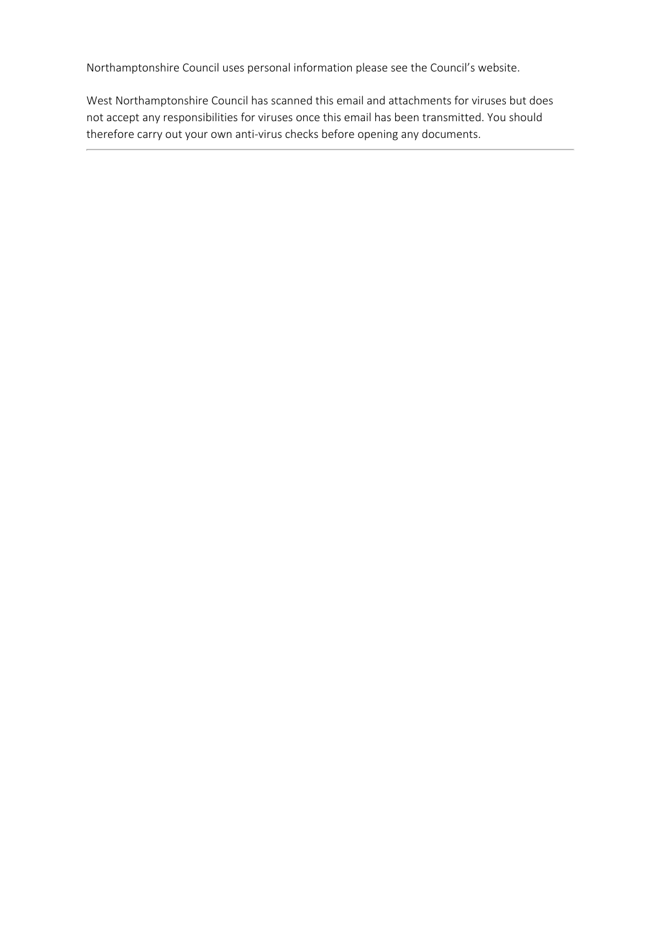Northamptonshire Council uses personal information please see the Council's website.

West Northamptonshire Council has scanned this email and attachments for viruses but does not accept any responsibilities for viruses once this email has been transmitted. You should therefore carry out your own anti-virus checks before opening any documents.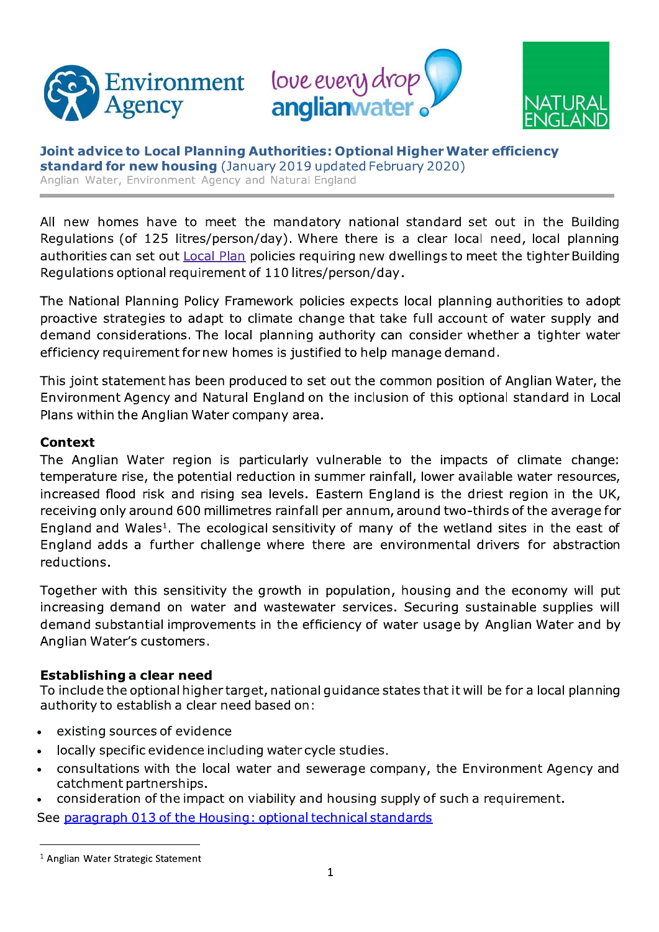





Joint advice to Local Planning Authorities: Optional Higher Water efficiency standard for new housing (January 2019 updated February 2020) Anglian Water, Environment Agency and Natural England

All new homes have to meet the mandatory national standard set out in the Building Requiations (of 125 litres/person/day). Where there is a clear local need, local planning authorities can set out Local Plan policies requiring new dwellings to meet the tighter Building Regulations optional requirement of 110 litres/person/day.

The National Planning Policy Framework policies expects local planning authorities to adopt proactive strategies to adapt to climate change that take full account of water supply and demand considerations. The local planning authority can consider whether a tighter water efficiency requirement for new homes is justified to help manage demand.

This joint statement has been produced to set out the common position of Anglian Water, the Environment Agency and Natural England on the inclusion of this optional standard in Local Plans within the Anglian Water company area.

## **Context**

The Anglian Water region is particularly vulnerable to the impacts of climate change: temperature rise, the potential reduction in summer rainfall, lower available water resources, increased flood risk and rising sea levels. Eastern England is the driest region in the UK, receiving only around 600 millimetres rainfall per annum, around two-thirds of the average for England and Wales<sup>1</sup>. The ecological sensitivity of many of the wetland sites in the east of England adds a further challenge where there are environmental drivers for abstraction reductions.

Together with this sensitivity the growth in population, housing and the economy will put increasing demand on water and wastewater services. Securing sustainable supplies will demand substantial improvements in the efficiency of water usage by Anglian Water and by Anglian Water's customers.

# Establishing a clear need

To include the optional higher target, national quidance states that it will be for a local planning authority to establish a clear need based on:

- existing sources of evidence
- locally specific evidence including water cycle studies.  $\bullet$
- consultations with the local water and sewerage company, the Environment Agency and catchment partnerships.
- consideration of the impact on viability and housing supply of such a requirement.

See paragraph 013 of the Housing: optional technical standards

<sup>&</sup>lt;sup>1</sup> Anglian Water Strategic Statement